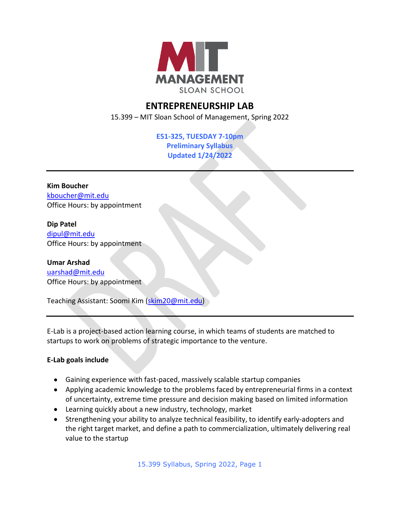

# **ENTREPRENEURSHIP LAB**

15.399 – MIT Sloan School of Management, Spring 2022

**E51-325, TUESDAY 7-10pm Preliminary Syllabus Updated 1/24/2022**

**Kim Boucher** [kboucher@mit.edu](mailto:kboucher@mit.edu) Office Hours: by appointment

**Dip Patel**  [dipul@mit.edu](mailto:dipul@mit.edu) Office Hours: by appointment

**Umar Arshad** [uarshad@mit.edu](mailto:uarshad@mit.edu) Office Hours: by appointment

Teaching Assistant: Soomi Kim [\(skim20@mit.edu\)](mailto:skim20@mit.edu)

E-Lab is a project-based action learning course, in which teams of students are matched to startups to work on problems of strategic importance to the venture.

## **E-Lab goals include**

- Gaining experience with fast-paced, massively scalable startup companies
- Applying academic knowledge to the problems faced by entrepreneurial firms in a context of uncertainty, extreme time pressure and decision making based on limited information
- Learning quickly about a new industry, technology, market
- Strengthening your ability to analyze technical feasibility, to identify early-adopters and the right target market, and define a path to commercialization, ultimately delivering real value to the startup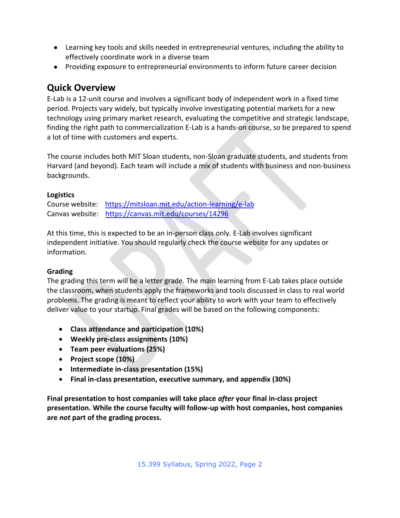- Learning key tools and skills needed in entrepreneurial ventures, including the ability to effectively coordinate work in a diverse team
- Providing exposure to entrepreneurial environments to inform future career decision

# **Quick Overview**

E-Lab is a 12-unit course and involves a significant body of independent work in a fixed time period. Projects vary widely, but typically involve investigating potential markets for a new technology using primary market research, evaluating the competitive and strategic landscape, finding the right path to commercialization E-Lab is a hands-on course, so be prepared to spend a lot of time with customers and experts.

The course includes both MIT Sloan students, non-Sloan graduate students, and students from Harvard (and beyond). Each team will include a mix of students with business and non-business backgrounds.

## **Logistics**

Course website: <https://mitsloan.mit.edu/action-learning/e-lab> Canvas website: <https://canvas.mit.edu/courses/14296>

At this time, this is expected to be an in-person class only. E-Lab involves significant independent initiative. You should regularly check the course website for any updates or information.

# **Grading**

The grading this term will be a letter grade. The main learning from E-Lab takes place outside the classroom, when students apply the frameworks and tools discussed in class to real world problems. The grading is meant to reflect your ability to work with your team to effectively deliver value to your startup. Final grades will be based on the following components:

- **Class attendance and participation (10%)**
- **Weekly pre-class assignments (10%)**
- **Team peer evaluations (25%)**
- **Project scope (10%)**
- **Intermediate in-class presentation (15%)**
- **Final in-class presentation, executive summary, and appendix (30%)**

**Final presentation to host companies will take place** *after* **your final in-class project presentation. While the course faculty will follow-up with host companies, host companies are** *not* **part of the grading process.**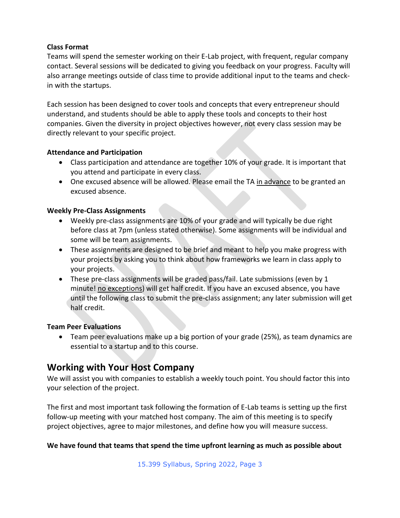#### **Class Format**

Teams will spend the semester working on their E-Lab project, with frequent, regular company contact. Several sessions will be dedicated to giving you feedback on your progress. Faculty will also arrange meetings outside of class time to provide additional input to the teams and checkin with the startups.

Each session has been designed to cover tools and concepts that every entrepreneur should understand, and students should be able to apply these tools and concepts to their host companies. Given the diversity in project objectives however, not every class session may be directly relevant to your specific project.

#### **Attendance and Participation**

- Class participation and attendance are together 10% of your grade. It is important that you attend and participate in every class.
- One excused absence will be allowed. Please email the TA in advance to be granted an excused absence.

#### **Weekly Pre-Class Assignments**

- Weekly pre-class assignments are 10% of your grade and will typically be due right before class at 7pm (unless stated otherwise). Some assignments will be individual and some will be team assignments.
- These assignments are designed to be brief and meant to help you make progress with your projects by asking you to think about how frameworks we learn in class apply to your projects.
- These pre-class assignments will be graded pass/fail. Late submissions (even by 1 minute! no exceptions) will get half credit. If you have an excused absence, you have until the following class to submit the pre-class assignment; any later submission will get half credit.

### **Team Peer Evaluations**

• Team peer evaluations make up a big portion of your grade (25%), as team dynamics are essential to a startup and to this course.

# **Working with Your Host Company**

We will assist you with companies to establish a weekly touch point. You should factor this into your selection of the project.

The first and most important task following the formation of E-Lab teams is setting up the first follow-up meeting with your matched host company. The aim of this meeting is to specify project objectives, agree to major milestones, and define how you will measure success.

### **We have found that teams that spend the time upfront learning as much as possible about**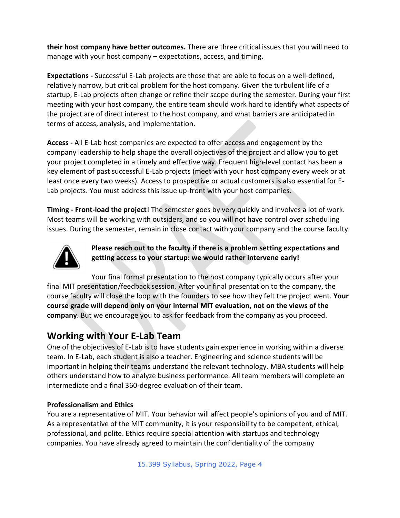**their host company have better outcomes.** There are three critical issues that you will need to manage with your host company – expectations, access, and timing.

**Expectations -** Successful E-Lab projects are those that are able to focus on a well-defined, relatively narrow, but critical problem for the host company. Given the turbulent life of a startup, E-Lab projects often change or refine their scope during the semester. During your first meeting with your host company, the entire team should work hard to identify what aspects of the project are of direct interest to the host company, and what barriers are anticipated in terms of access, analysis, and implementation.

**Access -** All E-Lab host companies are expected to offer access and engagement by the company leadership to help shape the overall objectives of the project and allow you to get your project completed in a timely and effective way. Frequent high-level contact has been a key element of past successful E-Lab projects (meet with your host company every week or at least once every two weeks). Access to prospective or actual customers is also essential for E-Lab projects. You must address this issue up-front with your host companies.

**Timing - Front-load the project**! The semester goes by very quickly and involves a lot of work. Most teams will be working with outsiders, and so you will not have control over scheduling issues. During the semester, remain in close contact with your company and the course faculty.



**Please reach out to the faculty if there is a problem setting expectations and getting access to your startup: we would rather intervene early!**

Your final formal presentation to the host company typically occurs after your final MIT presentation/feedback session. After your final presentation to the company, the course faculty will close the loop with the founders to see how they felt the project went. **Your course grade will depend only on your internal MIT evaluation, not on the views of the company**. But we encourage you to ask for feedback from the company as you proceed.

# **Working with Your E-Lab Team**

One of the objectives of E-Lab is to have students gain experience in working within a diverse team. In E-Lab, each student is also a teacher. Engineering and science students will be important in helping their teams understand the relevant technology. MBA students will help others understand how to analyze business performance. All team members will complete an intermediate and a final 360-degree evaluation of their team.

## **Professionalism and Ethics**

You are a representative of MIT. Your behavior will affect people's opinions of you and of MIT. As a representative of the MIT community, it is your responsibility to be competent, ethical, professional, and polite. Ethics require special attention with startups and technology companies. You have already agreed to maintain the confidentiality of the company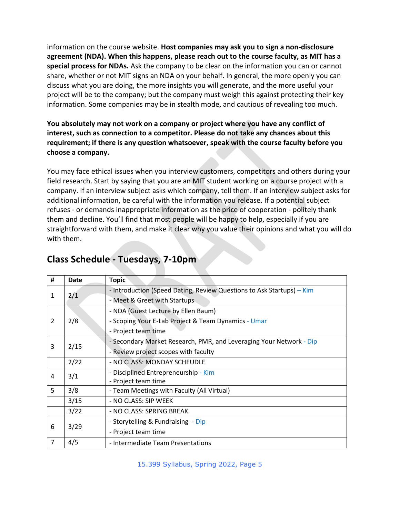information on the course website. **Host companies may ask you to sign a non-disclosure agreement (NDA). When this happens, please reach out to the course faculty, as MIT has a special process for NDAs.** Ask the company to be clear on the information you can or cannot share, whether or not MIT signs an NDA on your behalf. In general, the more openly you can discuss what you are doing, the more insights you will generate, and the more useful your project will be to the company; but the company must weigh this against protecting their key information. Some companies may be in stealth mode, and cautious of revealing too much.

**You absolutely may not work on a company or project where you have any conflict of interest, such as connection to a competitor. Please do not take any chances about this requirement; if there is any question whatsoever, speak with the course faculty before you choose a company.**

You may face ethical issues when you interview customers, competitors and others during your field research. Start by saying that you are an MIT student working on a course project with a company. If an interview subject asks which company, tell them. If an interview subject asks for additional information, be careful with the information you release. If a potential subject refuses - or demands inappropriate information as the price of cooperation - politely thank them and decline. You'll find that most people will be happy to help, especially if you are straightforward with them, and make it clear why you value their opinions and what you will do with them.

| #              | Date | <b>Topic</b>                                                          |
|----------------|------|-----------------------------------------------------------------------|
| 1              | 2/1  | - Introduction (Speed Dating, Review Questions to Ask Startups) - Kim |
|                |      | - Meet & Greet with Startups                                          |
| 2              |      | - NDA (Guest Lecture by Ellen Baum)                                   |
|                | 2/8  | - Scoping Your E-Lab Project & Team Dynamics - Umar                   |
|                |      | - Project team time                                                   |
| 3              | 2/15 | - Secondary Market Research, PMR, and Leveraging Your Network - Dip   |
|                |      | - Review project scopes with faculty                                  |
|                | 2/22 | - NO CLASS: MONDAY SCHEUDLE                                           |
| 4              | 3/1  | - Disciplined Entrepreneurship - Kim                                  |
|                |      | - Project team time                                                   |
| 5              | 3/8  | - Team Meetings with Faculty (All Virtual)                            |
|                | 3/15 | - NO CLASS: SIP WEEK                                                  |
|                | 3/22 | - NO CLASS: SPRING BREAK                                              |
| 6              | 3/29 | - Storytelling & Fundraising - Dip                                    |
|                |      | - Project team time                                                   |
| $\overline{7}$ | 4/5  | - Intermediate Team Presentations                                     |

# **Class Schedule - Tuesdays, 7-10pm**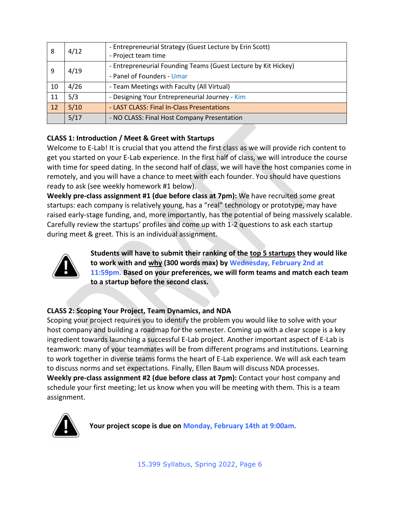| 8  | 4/12 | - Entrepreneurial Strategy (Guest Lecture by Erin Scott)<br>- Project team time              |
|----|------|----------------------------------------------------------------------------------------------|
| 9  | 4/19 | - Entrepreneurial Founding Teams (Guest Lecture by Kit Hickey)<br>- Panel of Founders - Umar |
| 10 | 4/26 | - Team Meetings with Faculty (All Virtual)                                                   |
| 11 | 5/3  | - Designing Your Entrepreneurial Journey - Kim                                               |
| 12 | 5/10 | - LAST CLASS: Final In-Class Presentations                                                   |
|    | 5/17 | - NO CLASS: Final Host Company Presentation                                                  |

## **CLASS 1: Introduction / Meet & Greet with Startups**

Welcome to E-Lab! It is crucial that you attend the first class as we will provide rich content to get you started on your E-Lab experience. In the first half of class, we will introduce the course with time for speed dating. In the second half of class, we will have the host companies come in remotely, and you will have a chance to meet with each founder. You should have questions ready to ask (see weekly homework #1 below).

**Weekly pre-class assignment #1 (due before class at 7pm):** We have recruited some great startups: each company is relatively young, has a "real" technology or prototype, may have raised early-stage funding, and, more importantly, has the potential of being massively scalable. Carefully review the startups' profiles and come up with 1-2 questions to ask each startup during meet & greet. This is an individual assignment.



**Students will have to submit their ranking of the top 5 startups they would like to work with and why (300 words max) by Wednesday, February 2nd at 11:59pm. Based on your preferences, we will form teams and match each team to a startup before the second class.**

# **CLASS 2: Scoping Your Project, Team Dynamics, and NDA**

Scoping your project requires you to identify the problem you would like to solve with your host company and building a roadmap for the semester. Coming up with a clear scope is a key ingredient towards launching a successful E-Lab project. Another important aspect of E-Lab is teamwork: many of your teammates will be from different programs and institutions. Learning to work together in diverse teams forms the heart of E-Lab experience. We will ask each team to discuss norms and set expectations. Finally, Ellen Baum will discuss NDA processes. **Weekly pre-class assignment #2 (due before class at 7pm):** Contact your host company and schedule your first meeting; let us know when you will be meeting with them. This is a team assignment.



**Your project scope is due on Monday, February 14th at 9:00am.**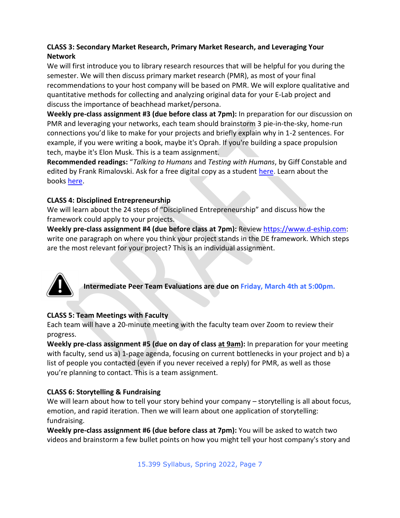### **CLASS 3: Secondary Market Research, Primary Market Research, and Leveraging Your Network**

We will first introduce you to library research resources that will be helpful for you during the semester. We will then discuss primary market research (PMR), as most of your final recommendations to your host company will be based on PMR. We will explore qualitative and quantitative methods for collecting and analyzing original data for your E-Lab project and discuss the importance of beachhead market/persona.

**Weekly pre-class assignment #3 (due before class at 7pm):** In preparation for our discussion on PMR and leveraging your networks, each team should brainstorm 3 pie-in-the-sky, home-run connections you'd like to make for your projects and briefly explain why in 1-2 sentences. For example, if you were writing a book, maybe it's Oprah. If you're building a space propulsion tech, maybe it's Elon Musk. This is a team assignment.

**Recommended readings:** "*Talking to Humans* and *Testing with Humans*, by Giff Constable and edited by Frank Rimalovski. Ask for a free digital copy as a student [here.](https://docs.google.com/forms/d/e/1FAIpQLSealERmJhL2CO12jXV8kgx6hkckWYQkRAVWAi2kdF91aYcLOg/viewform) Learn about the books [here.](https://www.talkingtohumans.com/)

### **CLASS 4: Disciplined Entrepreneurship**

We will learn about the 24 steps of "Disciplined Entrepreneurship" and discuss how the framework could apply to your projects.

**Weekly pre-class assignment #4 (due before class at 7pm):** Review [https://www.d-eship.com:](https://www.d-eship.com/) write one paragraph on where you think your project stands in the DE framework. Which steps are the most relevant for your project? This is an individual assignment.



**Intermediate Peer Team Evaluations are due on Friday, March 4th at 5:00pm.**

## **CLASS 5: Team Meetings with Faculty**

Each team will have a 20-minute meeting with the faculty team over Zoom to review their progress.

**Weekly pre-class assignment #5 (due on day of class at 9am):** In preparation for your meeting with faculty, send us a) 1-page agenda, focusing on current bottlenecks in your project and b) a list of people you contacted (even if you never received a reply) for PMR, as well as those you're planning to contact. This is a team assignment.

## **CLASS 6: Storytelling & Fundraising**

We will learn about how to tell your story behind your company – storytelling is all about focus, emotion, and rapid iteration. Then we will learn about one application of storytelling: fundraising.

**Weekly pre-class assignment #6 (due before class at 7pm):** You will be asked to watch two videos and brainstorm a few bullet points on how you might tell your host company's story and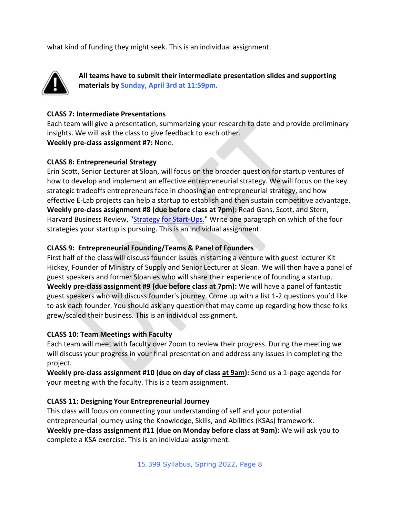what kind of funding they might seek. This is an individual assignment.



**All teams have to submit their intermediate presentation slides and supporting materials by Sunday, April 3rd at 11:59pm.**

#### **CLASS 7: Intermediate Presentations**

Each team will give a presentation, summarizing your research to date and provide preliminary insights. We will ask the class to give feedback to each other. **Weekly pre-class assignment #7:** None.

#### **CLASS 8: Entrepreneurial Strategy**

Erin Scott, Senior Lecturer at Sloan, will focus on the broader question for startup ventures of how to develop and implement an effective entrepreneurial strategy. We will focus on the key strategic tradeoffs entrepreneurs face in choosing an entrepreneurial strategy, and how effective E-Lab projects can help a startup to establish and then sustain competitive advantage. **Weekly pre-class assignment #8 (due before class at 7pm):** Read Gans, Scott, and Stern, Harvard Business Review, ["Strategy for Start-Ups.](https://hbr.org/2018/05/do-entrepreneurs-need-a-strategy)" Write one paragraph on which of the four strategies your startup is pursuing. This is an individual assignment.

#### **CLASS 9: Entrepreneurial Founding/Teams & Panel of Founders**

First half of the class will discuss founder issues in starting a venture with guest lecturer Kit Hickey, Founder of Ministry of Supply and Senior Lecturer at Sloan. We will then have a panel of guest speakers and former Sloanies who will share their experience of founding a startup. **Weekly pre-class assignment #9 (due before class at 7pm):** We will have a panel of fantastic guest speakers who will discuss founder's journey. Come up with a list 1-2 questions you'd like to ask each founder. You should ask any question that may come up regarding how these folks grew/scaled their business. This is an individual assignment.

#### **CLASS 10: Team Meetings with Faculty**

Each team will meet with faculty over Zoom to review their progress. During the meeting we will discuss your progress in your final presentation and address any issues in completing the project.

**Weekly pre-class assignment #10 (due on day of class at 9am):** Send us a 1-page agenda for your meeting with the faculty. This is a team assignment.

#### **CLASS 11: Designing Your Entrepreneurial Journey**

This class will focus on connecting your understanding of self and your potential entrepreneurial journey using the Knowledge, Skills, and Abilities (KSAs) framework. **Weekly pre-class assignment #11 (due on Monday before class at 9am):** We will ask you to complete a KSA exercise. This is an individual assignment.